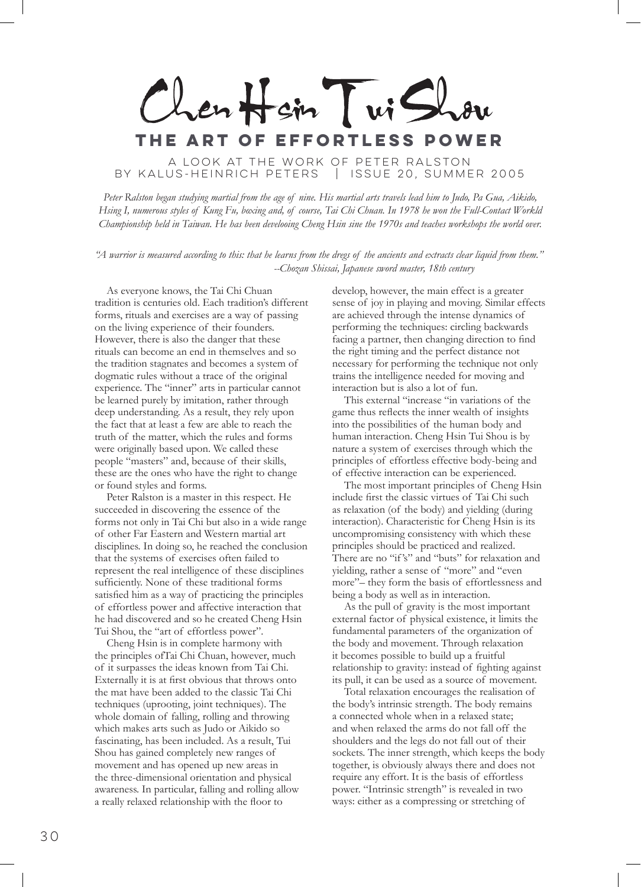Chentfair Tuisl **The art of effortless power**

A look at the work of Peter Ralston by Kalus-Heinrich Peters | Issue 20, summer 2005

*Peter Ralston began studying martial from the age of nine. His martial arts travels lead him to Judo, Pa Gua, Aikido, Hsing I, numerous styles of Kung Fu, boxing and, of course, Tai Chi Chuan. In 1978 he won the Full-Contact Workld Championship held in Taiwan. He has been develooing Cheng Hsin sine the 1970s and teaches workshops the world over.*

*"A warrior is measured according to this: that he learns from the dregs of the ancients and extracts clear liquid from them." --Chozan Shissai, Japanese sword master, 18th century*

As everyone knows, the Tai Chi Chuan tradition is centuries old. Each tradition's different forms, rituals and exercises are a way of passing on the living experience of their founders. However, there is also the danger that these rituals can become an end in themselves and so the tradition stagnates and becomes a system of dogmatic rules without a trace of the original experience. The "inner" arts in particular cannot be learned purely by imitation, rather through deep understanding. As a result, they rely upon the fact that at least a few are able to reach the truth of the matter, which the rules and forms were originally based upon. We called these people "masters" and, because of their skills, these are the ones who have the right to change or found styles and forms.

Peter Ralston is a master in this respect. He succeeded in discovering the essence of the forms not only in Tai Chi but also in a wide range of other Far Eastern and Western martial art disciplines. In doing so, he reached the conclusion that the systems of exercises often failed to represent the real intelligence of these disciplines sufficiently. None of these traditional forms satisfied him as a way of practicing the principles of effortless power and affective interaction that he had discovered and so he created Cheng Hsin Tui Shou, the "art of effortless power".

Cheng Hsin is in complete harmony with the principles ofTai Chi Chuan, however, much of it surpasses the ideas known from Tai Chi. Externally it is at first obvious that throws onto the mat have been added to the classic Tai Chi techniques (uprooting, joint techniques). The whole domain of falling, rolling and throwing which makes arts such as Judo or Aikido so fascinating, has been included. As a result, Tui Shou has gained completely new ranges of movement and has opened up new areas in the three-dimensional orientation and physical awareness. In particular, falling and rolling allow a really relaxed relationship with the floor to

develop, however, the main effect is a greater sense of joy in playing and moving. Similar effects are achieved through the intense dynamics of performing the techniques: circling backwards facing a partner, then changing direction to find the right timing and the perfect distance not necessary for performing the technique not only trains the intelligence needed for moving and interaction but is also a lot of fun.

This external "increase "in variations of the game thus reflects the inner wealth of insights into the possibilities of the human body and human interaction. Cheng Hsin Tui Shou is by nature a system of exercises through which the principles of effortless effective body-being and of effective interaction can be experienced.

The most important principles of Cheng Hsin include first the classic virtues of Tai Chi such as relaxation (of the body) and yielding (during interaction). Characteristic for Cheng Hsin is its uncompromising consistency with which these principles should be practiced and realized. There are no "if 's" and "buts" for relaxation and yielding, rather a sense of "more" and "even more"– they form the basis of effortlessness and being a body as well as in interaction.

As the pull of gravity is the most important external factor of physical existence, it limits the fundamental parameters of the organization of the body and movement. Through relaxation it becomes possible to build up a fruitful relationship to gravity: instead of fighting against its pull, it can be used as a source of movement.

Total relaxation encourages the realisation of the body's intrinsic strength. The body remains a connected whole when in a relaxed state; and when relaxed the arms do not fall off the shoulders and the legs do not fall out of their sockets. The inner strength, which keeps the body together, is obviously always there and does not require any effort. It is the basis of effortless power. "Intrinsic strength" is revealed in two ways: either as a compressing or stretching of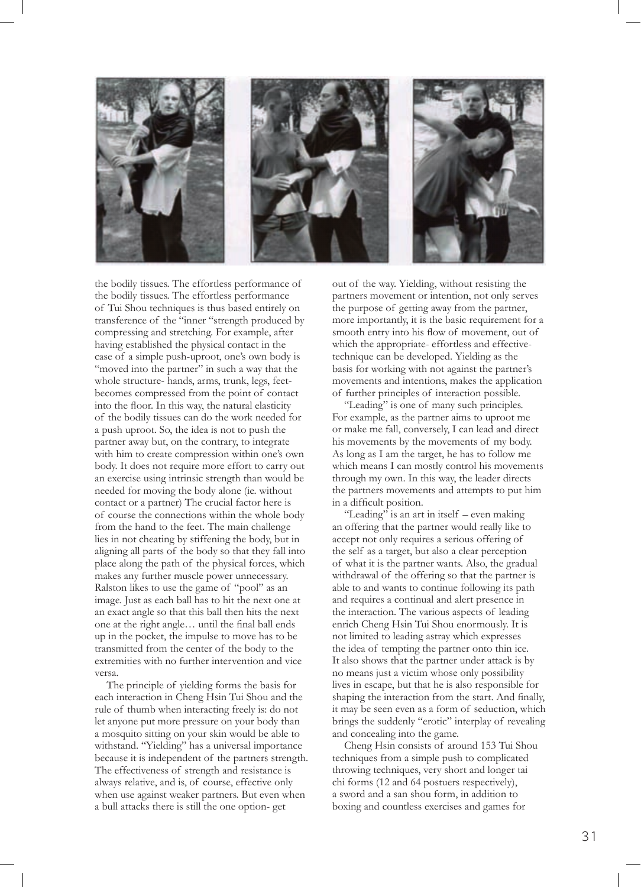

the bodily tissues. The effortless performance of the bodily tissues. The effortless performance of Tui Shou techniques is thus based entirely on transference of the "inner "strength produced by compressing and stretching. For example, after having established the physical contact in the case of a simple push-uproot, one's own body is "moved into the partner" in such a way that the whole structure- hands, arms, trunk, legs, feetbecomes compressed from the point of contact into the floor. In this way, the natural elasticity of the bodily tissues can do the work needed for a push uproot. So, the idea is not to push the partner away but, on the contrary, to integrate with him to create compression within one's own body. It does not require more effort to carry out an exercise using intrinsic strength than would be needed for moving the body alone (ie. without contact or a partner) The crucial factor here is of course the connections within the whole body from the hand to the feet. The main challenge lies in not cheating by stiffening the body, but in aligning all parts of the body so that they fall into place along the path of the physical forces, which makes any further muscle power unnecessary. Ralston likes to use the game of "pool" as an image. Just as each ball has to hit the next one at an exact angle so that this ball then hits the next one at the right angle… until the final ball ends up in the pocket, the impulse to move has to be transmitted from the center of the body to the extremities with no further intervention and vice versa.

The principle of yielding forms the basis for each interaction in Cheng Hsin Tui Shou and the rule of thumb when interacting freely is: do not let anyone put more pressure on your body than a mosquito sitting on your skin would be able to withstand. "Yielding" has a universal importance because it is independent of the partners strength. The effectiveness of strength and resistance is always relative, and is, of course, effective only when use against weaker partners. But even when a bull attacks there is still the one option- get

out of the way. Yielding, without resisting the partners movement or intention, not only serves the purpose of getting away from the partner, more importantly, it is the basic requirement for a smooth entry into his flow of movement, out of which the appropriate- effortless and effectivetechnique can be developed. Yielding as the basis for working with not against the partner's movements and intentions, makes the application of further principles of interaction possible.

"Leading" is one of many such principles. For example, as the partner aims to uproot me or make me fall, conversely, I can lead and direct his movements by the movements of my body. As long as I am the target, he has to follow me which means I can mostly control his movements through my own. In this way, the leader directs the partners movements and attempts to put him in a difficult position.

"Leading" is an art in itself – even making an offering that the partner would really like to accept not only requires a serious offering of the self as a target, but also a clear perception of what it is the partner wants. Also, the gradual withdrawal of the offering so that the partner is able to and wants to continue following its path and requires a continual and alert presence in the interaction. The various aspects of leading enrich Cheng Hsin Tui Shou enormously. It is not limited to leading astray which expresses the idea of tempting the partner onto thin ice. It also shows that the partner under attack is by no means just a victim whose only possibility lives in escape, but that he is also responsible for shaping the interaction from the start. And finally, it may be seen even as a form of seduction, which brings the suddenly "erotic" interplay of revealing and concealing into the game.

Cheng Hsin consists of around 153 Tui Shou techniques from a simple push to complicated throwing techniques, very short and longer tai chi forms (12 and 64 postuers respectively), a sword and a san shou form, in addition to boxing and countless exercises and games for